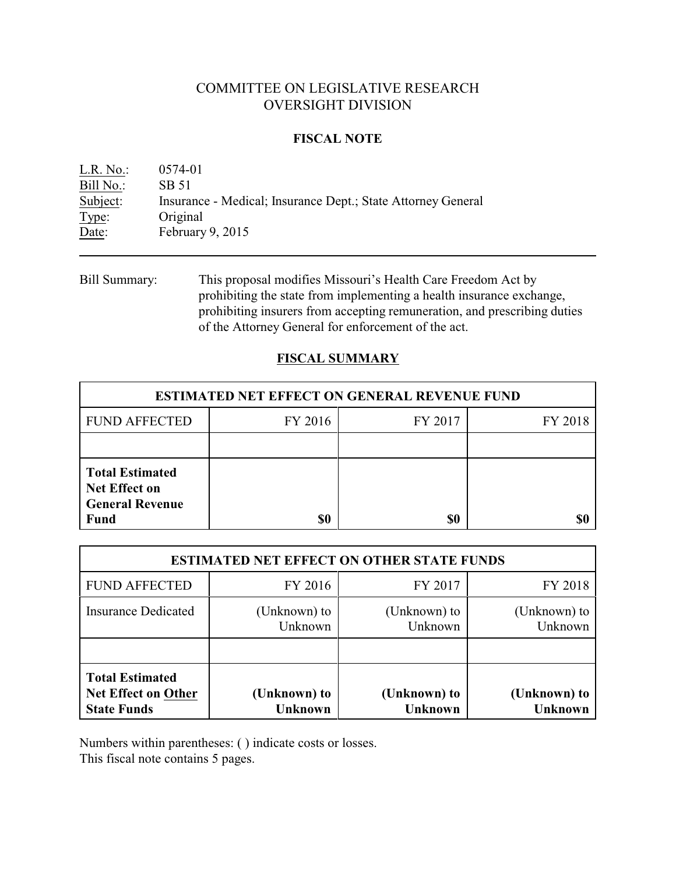# COMMITTEE ON LEGISLATIVE RESEARCH OVERSIGHT DIVISION

## **FISCAL NOTE**

| L.R. No.  | 0574-01                                                      |
|-----------|--------------------------------------------------------------|
| Bill No.: | SB 51                                                        |
| Subject:  | Insurance - Medical; Insurance Dept.; State Attorney General |
| Type:     | Original                                                     |
| Date:     | February $9, 2015$                                           |

Bill Summary: This proposal modifies Missouri's Health Care Freedom Act by prohibiting the state from implementing a health insurance exchange, prohibiting insurers from accepting remuneration, and prescribing duties of the Attorney General for enforcement of the act.

# **FISCAL SUMMARY**

| <b>ESTIMATED NET EFFECT ON GENERAL REVENUE FUND</b>                                     |         |         |         |  |
|-----------------------------------------------------------------------------------------|---------|---------|---------|--|
| <b>FUND AFFECTED</b>                                                                    | FY 2016 | FY 2017 | FY 2018 |  |
|                                                                                         |         |         |         |  |
| <b>Total Estimated</b><br><b>Net Effect on</b><br><b>General Revenue</b><br><b>Fund</b> | \$0     | \$0     |         |  |

| <b>ESTIMATED NET EFFECT ON OTHER STATE FUNDS</b>     |                         |                         |                         |  |
|------------------------------------------------------|-------------------------|-------------------------|-------------------------|--|
| <b>FUND AFFECTED</b>                                 | FY 2016                 | FY 2017                 | FY 2018                 |  |
| <b>Insurance Dedicated</b>                           | (Unknown) to<br>Unknown | (Unknown) to<br>Unknown | (Unknown) to<br>Unknown |  |
| <b>Total Estimated</b><br><b>Net Effect on Other</b> | (Unknown) to            | (Unknown) to            | (Unknown) to            |  |
| <b>State Funds</b>                                   | <b>Unknown</b>          | <b>Unknown</b>          | <b>Unknown</b>          |  |

Numbers within parentheses: ( ) indicate costs or losses.

This fiscal note contains 5 pages.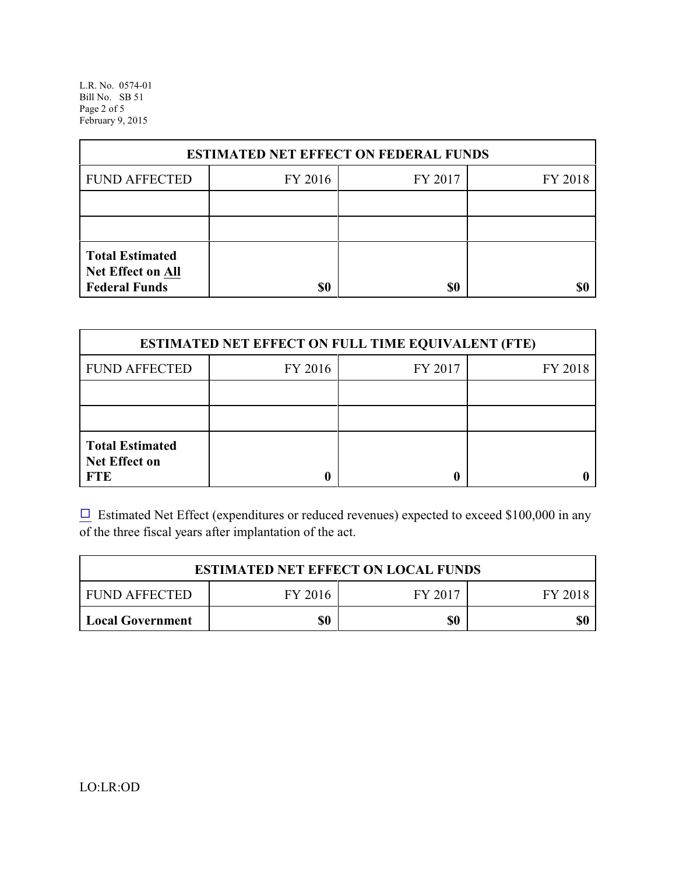L.R. No. 0574-01 Bill No. SB 51 Page 2 of 5 February 9, 2015

| <b>ESTIMATED NET EFFECT ON FEDERAL FUNDS</b>                        |         |         |         |  |
|---------------------------------------------------------------------|---------|---------|---------|--|
| <b>FUND AFFECTED</b>                                                | FY 2016 | FY 2017 | FY 2018 |  |
|                                                                     |         |         |         |  |
|                                                                     |         |         |         |  |
| <b>Total Estimated</b><br>Net Effect on All<br><b>Federal Funds</b> | \$0     | \$0     |         |  |

| <b>ESTIMATED NET EFFECT ON FULL TIME EQUIVALENT (FTE)</b>    |         |         |         |  |
|--------------------------------------------------------------|---------|---------|---------|--|
| <b>FUND AFFECTED</b>                                         | FY 2016 | FY 2017 | FY 2018 |  |
|                                                              |         |         |         |  |
|                                                              |         |         |         |  |
| <b>Total Estimated</b><br><b>Net Effect on</b><br><b>FTE</b> |         |         |         |  |

 $\Box$  Estimated Net Effect (expenditures or reduced revenues) expected to exceed \$100,000 in any of the three fiscal years after implantation of the act.

| <b>ESTIMATED NET EFFECT ON LOCAL FUNDS</b> |         |         |         |
|--------------------------------------------|---------|---------|---------|
| <b>FUND AFFECTED</b>                       | FY 2016 | FY 2017 | FY 2018 |
| Local Government                           | \$0     | \$0     | \$0     |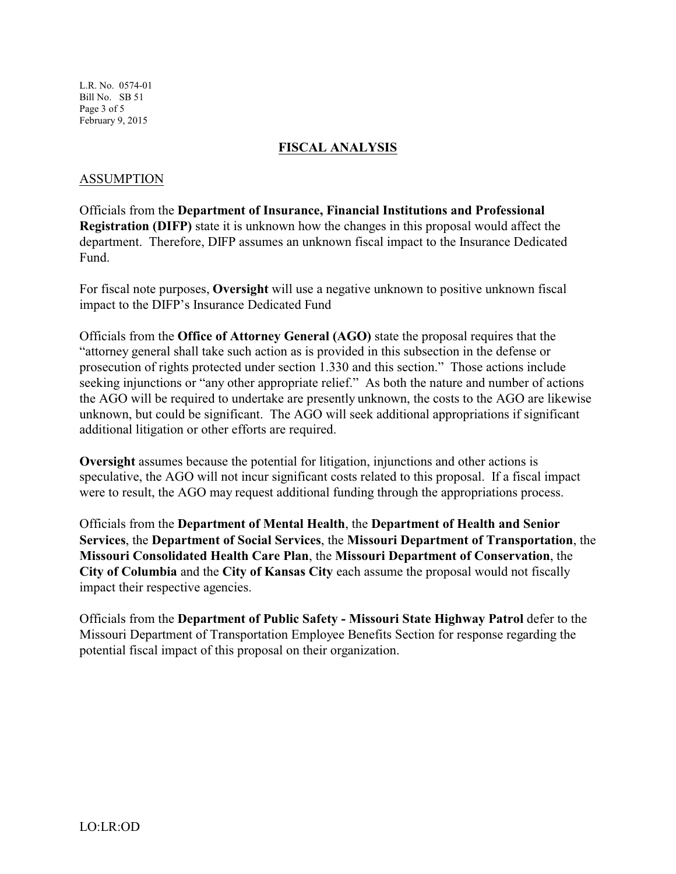L.R. No. 0574-01 Bill No. SB 51 Page 3 of 5 February 9, 2015

## **FISCAL ANALYSIS**

#### ASSUMPTION

Officials from the **Department of Insurance, Financial Institutions and Professional Registration (DIFP)** state it is unknown how the changes in this proposal would affect the department. Therefore, DIFP assumes an unknown fiscal impact to the Insurance Dedicated Fund.

For fiscal note purposes, **Oversight** will use a negative unknown to positive unknown fiscal impact to the DIFP's Insurance Dedicated Fund

Officials from the **Office of Attorney General (AGO)** state the proposal requires that the "attorney general shall take such action as is provided in this subsection in the defense or prosecution of rights protected under section 1.330 and this section." Those actions include seeking injunctions or "any other appropriate relief." As both the nature and number of actions the AGO will be required to undertake are presently unknown, the costs to the AGO are likewise unknown, but could be significant. The AGO will seek additional appropriations if significant additional litigation or other efforts are required.

**Oversight** assumes because the potential for litigation, injunctions and other actions is speculative, the AGO will not incur significant costs related to this proposal. If a fiscal impact were to result, the AGO may request additional funding through the appropriations process.

Officials from the **Department of Mental Health**, the **Department of Health and Senior Services**, the **Department of Social Services**, the **Missouri Department of Transportation**, the **Missouri Consolidated Health Care Plan**, the **Missouri Department of Conservation**, the **City of Columbia** and the **City of Kansas City** each assume the proposal would not fiscally impact their respective agencies.

Officials from the **Department of Public Safety - Missouri State Highway Patrol** defer to the Missouri Department of Transportation Employee Benefits Section for response regarding the potential fiscal impact of this proposal on their organization.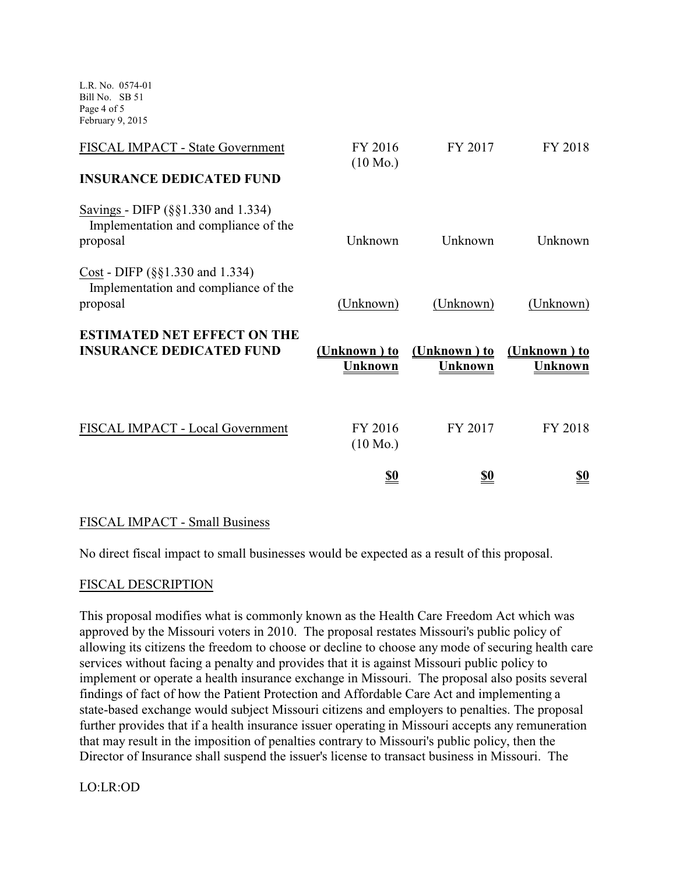L.R. No. 0574-01 Bill No. SB 51 Page 4 of 5 February 9, 2015

| FISCAL IMPACT - State Government                                                                 | FY 2016<br>$(10 \text{ Mo.})$  | FY 2017                 | FY 2018                 |
|--------------------------------------------------------------------------------------------------|--------------------------------|-------------------------|-------------------------|
| <b>INSURANCE DEDICATED FUND</b>                                                                  |                                |                         |                         |
| Savings - DIFP (§§1.330 and 1.334)<br>Implementation and compliance of the<br>proposal           | Unknown                        | Unknown                 | Unknown                 |
| Cost - DIFP $(\S\S1.330 \text{ and } 1.334)$<br>Implementation and compliance of the<br>proposal | (Unknown)                      | (Unknown)               | (Unknown)               |
| <b>ESTIMATED NET EFFECT ON THE</b><br><b>INSURANCE DEDICATED FUND</b>                            | <u>(Unknown) to</u><br>Unknown | (Unknown) to<br>Unknown | (Unknown) to<br>Unknown |
| FISCAL IMPACT - Local Government                                                                 | FY 2016<br>$(10 \text{ Mo.})$  | FY 2017                 | FY 2018                 |
|                                                                                                  | <u>\$0</u>                     | <u>\$0</u>              | <u>\$0</u>              |

# FISCAL IMPACT - Small Business

No direct fiscal impact to small businesses would be expected as a result of this proposal.

## FISCAL DESCRIPTION

This proposal modifies what is commonly known as the Health Care Freedom Act which was approved by the Missouri voters in 2010. The proposal restates Missouri's public policy of allowing its citizens the freedom to choose or decline to choose any mode of securing health care services without facing a penalty and provides that it is against Missouri public policy to implement or operate a health insurance exchange in Missouri. The proposal also posits several findings of fact of how the Patient Protection and Affordable Care Act and implementing a state-based exchange would subject Missouri citizens and employers to penalties. The proposal further provides that if a health insurance issuer operating in Missouri accepts any remuneration that may result in the imposition of penalties contrary to Missouri's public policy, then the Director of Insurance shall suspend the issuer's license to transact business in Missouri. The

## LO:LR:OD